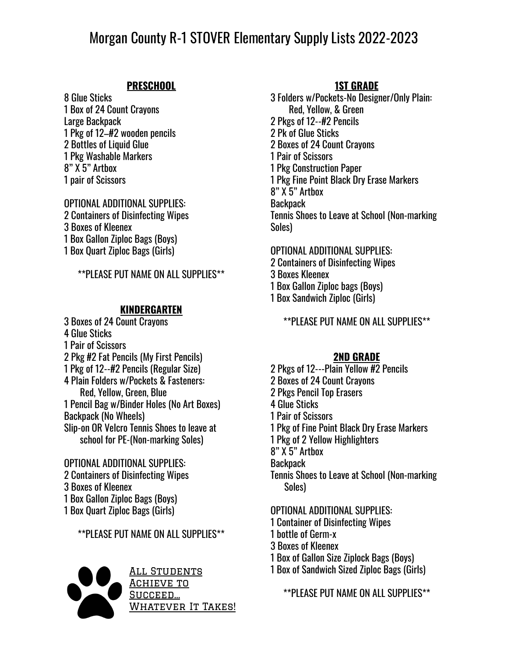# Morgan County R-1 STOVER Elementary Supply Lists 2022-2023

### **PRESCHOOL**

 Glue Sticks Box of 24 Count Crayons Large Backpack Pkg of 12–#2 wooden pencils 2 Bottles of Liquid Glue Pkg Washable Markers 8" X 5" Artbox pair of Scissors

## OPTIONAL ADDITIONAL SUPPLIES:

 Containers of Disinfecting Wipes Boxes of Kleenex Box Gallon Ziploc Bags (Boys) Box Quart Ziploc Bags (Girls)

\*\*PLEASE PUT NAME ON ALL SUPPLIES\*\*

#### **KINDERGARTEN**

 Boxes of 24 Count Crayons Glue Sticks Pair of Scissors Pkg #2 Fat Pencils (My First Pencils) Pkg of 12--#2 Pencils (Regular Size) Plain Folders w/Pockets & Fasteners: Red, Yellow, Green, Blue Pencil Bag w/Binder Holes (No Art Boxes) Backpack (No Wheels) Slip-on OR Velcro Tennis Shoes to leave at school for PE-(Non-marking Soles)

OPTIONAL ADDITIONAL SUPPLIES: Containers of Disinfecting Wipes Boxes of Kleenex Box Gallon Ziploc Bags (Boys) Box Quart Ziploc Bags (Girls)

\*\*PLEASE PUT NAME ON ALL SUPPLIES\*\*



All Students ACHIEVE TO Succeed… WHATEVER IT TAKES!

## **1ST GRADE**

3 Folders w/Pockets-No Designer/Only Plain: Red, Yellow, & Green 2 Pkgs of 12--#2 Pencils 2 Pk of Glue Sticks 2 Boxes of 24 Count Crayons 1 Pair of Scissors 1 Pkg Construction Paper 1 Pkg Fine Point Black Dry Erase Markers 8" X 5" Artbox **Backpack** Tennis Shoes to Leave at School (Non-marking Soles)

OPTIONAL ADDITIONAL SUPPLIES: Containers of Disinfecting Wipes Boxes Kleenex Box Gallon Ziploc bags (Boys) Box Sandwich Ziploc (Girls)

\*\*PLEASE PUT NAME ON ALL SUPPLIES\*\*

#### **2ND GRADE**

 Pkgs of 12---Plain Yellow #2 Pencils Boxes of 24 Count Crayons Pkgs Pencil Top Erasers Glue Sticks Pair of Scissors Pkg of Fine Point Black Dry Erase Markers Pkg of 2 Yellow Highlighters 8" X 5" Artbox **Backpack** Tennis Shoes to Leave at School (Non-marking Soles)

OPTIONAL ADDITIONAL SUPPLIES:

- 1 Container of Disinfecting Wipes
- 1 bottle of Germ-x
- 3 Boxes of Kleenex
- 1 Box of Gallon Size Ziplock Bags (Boys)
- 1 Box of Sandwich Sized Ziploc Bags (Girls)

\*\*PLEASE PUT NAME ON ALL SUPPLIES\*\*